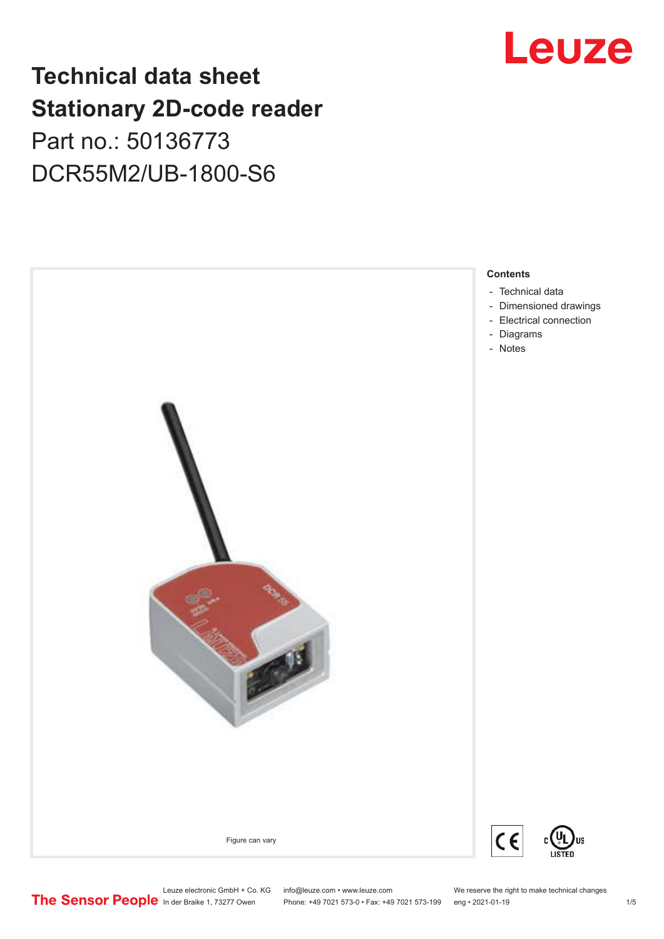# Leuze

# **Technical data sheet Stationary 2D-code reader** Part no.: 50136773 DCR55M2/UB-1800-S6



Leuze electronic GmbH + Co. KG info@leuze.com • www.leuze.com We reserve the right to make technical changes<br>
The Sensor People in der Braike 1, 73277 Owen Phone: +49 7021 573-0 • Fax: +49 7021 573-199 eng • 2021-01-19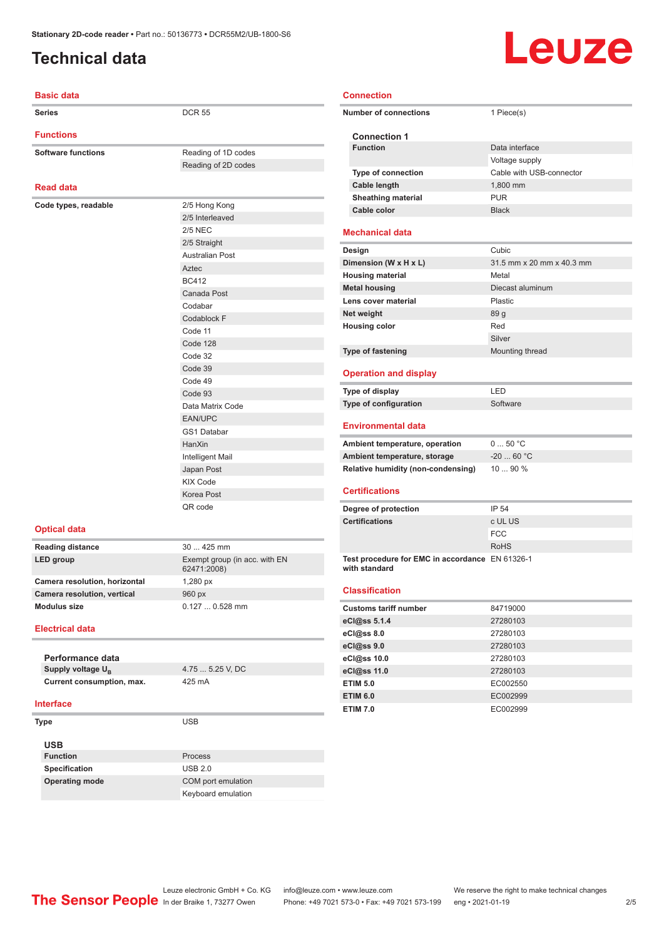# <span id="page-1-0"></span>**Technical data**

#### **Basic data**

| <b>Series</b>                 | <b>DCR 55</b>                                |
|-------------------------------|----------------------------------------------|
| <b>Functions</b>              |                                              |
| <b>Software functions</b>     | Reading of 1D codes                          |
|                               | Reading of 2D codes                          |
|                               |                                              |
| <b>Read data</b>              |                                              |
| Code types, readable          | 2/5 Hong Kong                                |
|                               | 2/5 Interleaved                              |
|                               | <b>2/5 NEC</b>                               |
|                               | 2/5 Straight                                 |
|                               | <b>Australian Post</b>                       |
|                               | Aztec                                        |
|                               | <b>BC412</b>                                 |
|                               | Canada Post                                  |
|                               | Codabar                                      |
|                               | Codablock F                                  |
|                               | Code 11                                      |
|                               | Code 128                                     |
|                               | Code 32                                      |
|                               | Code 39                                      |
|                               | Code 49                                      |
|                               | Code 93                                      |
|                               | Data Matrix Code                             |
|                               | <b>EAN/UPC</b>                               |
|                               | <b>GS1 Databar</b><br>HanXin                 |
|                               | Intelligent Mail                             |
|                               | Japan Post                                   |
|                               | <b>KIX Code</b>                              |
|                               | Korea Post                                   |
|                               | QR code                                      |
|                               |                                              |
| <b>Optical data</b>           |                                              |
| <b>Reading distance</b>       | 30  425 mm                                   |
| <b>LED</b> group              | Exempt group (in acc. with EN<br>62471:2008) |
| Camera resolution, horizontal | 1,280 px                                     |
| Camera resolution, vertical   | 960 px                                       |
| <b>Modulus size</b>           | 0.127  0.528 mm                              |
| <b>Electrical data</b>        |                                              |
|                               |                                              |
| Performance data              |                                              |
| Supply voltage U <sub>B</sub> | 4.75  5.25 V, DC                             |

**Supply voltage U<sup>B</sup> Current consumption, max.** 425 mA

#### **Interface**

**Type** USB **USB Function** Process **Specification** USB 2.0

**Operating mode** COM port emulation

Keyboard emulation

## **Connection**

| <b>Number of connections</b>                                       | 1 Piece(s)                |
|--------------------------------------------------------------------|---------------------------|
| <b>Connection 1</b>                                                |                           |
| <b>Function</b>                                                    | Data interface            |
|                                                                    | Voltage supply            |
| <b>Type of connection</b>                                          | Cable with USB-connector  |
| Cable length                                                       | 1,800 mm                  |
| <b>Sheathing material</b>                                          | <b>PUR</b>                |
| Cable color                                                        | <b>Black</b>              |
| Mechanical data                                                    |                           |
| Design                                                             | Cubic                     |
| Dimension (W x H x L)                                              | 31.5 mm x 20 mm x 40.3 mm |
| <b>Housing material</b>                                            | Metal                     |
| <b>Metal housing</b>                                               | Diecast aluminum          |
| Lens cover material                                                | Plastic                   |
| Net weight                                                         | 89 g                      |
| <b>Housing color</b>                                               | Red                       |
|                                                                    | Silver                    |
| <b>Type of fastening</b>                                           | Mounting thread           |
| <b>Operation and display</b>                                       |                           |
| Type of display                                                    | I FD                      |
|                                                                    | Software                  |
| Type of configuration                                              |                           |
| Environmental data                                                 |                           |
|                                                                    | 050 °C                    |
| Ambient temperature, operation<br>Ambient temperature, storage     | $-2060 °C$                |
|                                                                    | 10  90 %                  |
| <b>Relative humidity (non-condensing)</b><br><b>Certifications</b> |                           |
| Degree of protection                                               | IP 54                     |
|                                                                    | c UL US                   |
|                                                                    | <b>FCC</b>                |
| <b>Certifications</b>                                              | <b>RoHS</b>               |
| Test procedure for EMC in accordance EN 61326-1<br>with standard   |                           |
| <b>Classification</b>                                              |                           |
| <b>Customs tariff number</b>                                       | 84719000                  |
| eCl@ss 5.1.4                                                       | 27280103                  |
| eCl@ss 8.0                                                         | 27280103                  |
| eCl@ss 9.0                                                         | 27280103                  |
| eCl@ss 10.0                                                        | 27280103                  |
| eCl@ss 11.0                                                        | 27280103                  |
| <b>ETIM 5.0</b>                                                    | EC002550                  |
| <b>ETIM 6.0</b>                                                    | EC002999                  |

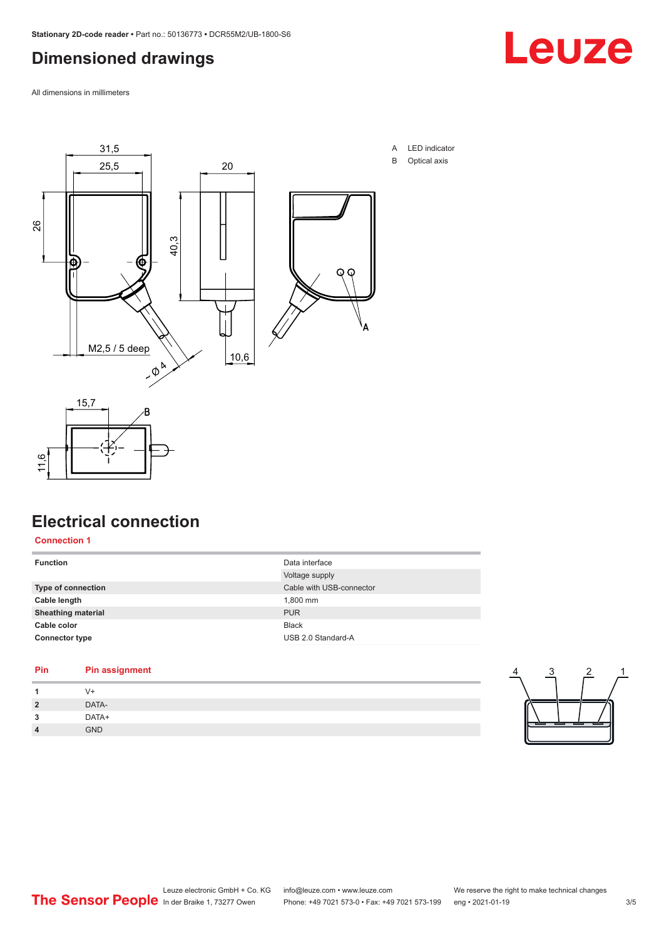# <span id="page-2-0"></span>**Dimensioned drawings**

All dimensions in millimeters





**Connection 1**

11,6

| <b>Function</b>           | Data interface<br>Voltage supply |
|---------------------------|----------------------------------|
| <b>Type of connection</b> | Cable with USB-connector         |
| Cable length              | 1,800 mm                         |
| <b>Sheathing material</b> | <b>PUR</b>                       |
| Cable color               | <b>Black</b>                     |
| <b>Connector type</b>     | USB 2.0 Standard-A               |
|                           |                                  |

#### **Pin Pin assignment**

| ຶ | DATA- |  |  |
|---|-------|--|--|
| ٠ | DATA+ |  |  |
|   | GND   |  |  |
|   |       |  |  |



 $\frac{4}{1}$   $\frac{3}{1}$   $\frac{2}{1}$ 

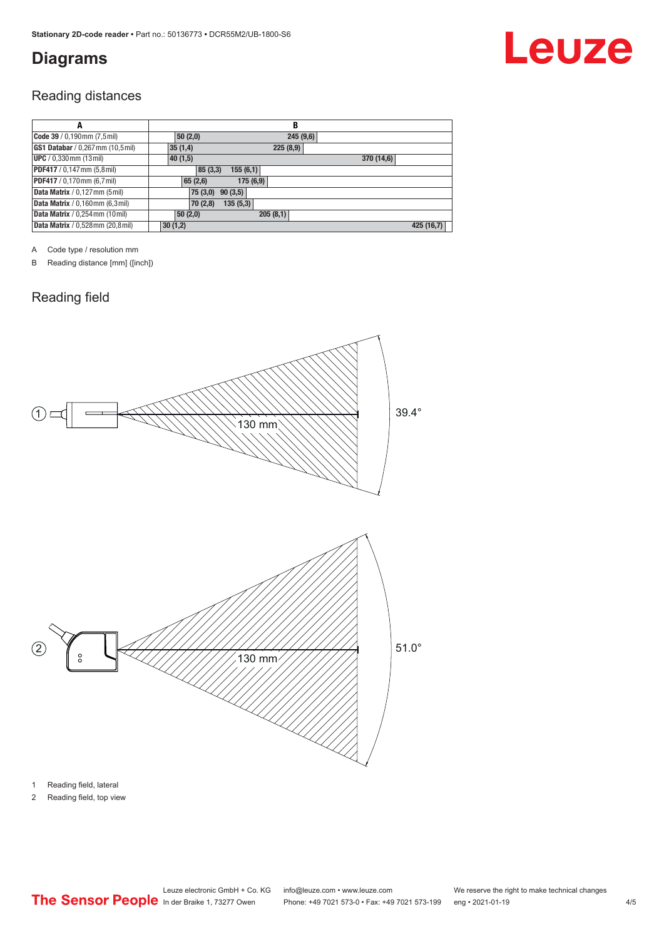# <span id="page-3-0"></span>**Diagrams**

## Reading distances

| A                                        | B                     |            |
|------------------------------------------|-----------------------|------------|
| Code 39 / 0,190mm (7,5mil)               | 50(2,0)<br>245(9,6)   |            |
| GS1 Databar / 0,267mm (10,5mil)          | 35(1,4)<br>225(8,9)   |            |
| <b>UPC</b> / 0,330 mm (13 mil)           | 370 (14,6)<br>40(1,5) |            |
| PDF417 / 0,147 mm (5,8 mil)              | 155(6,1)<br>85(3,3)   |            |
| PDF417 / 0,170mm (6,7 mil)               | 65(2,6)<br>175(6,9)   |            |
| Data Matrix / 0,127 mm (5 mil)           | 75(3,0)<br>90(3,5)    |            |
| Data Matrix / 0,160mm (6,3mil)           | 135(5,3)<br>70(2,8)   |            |
| <b>Data Matrix</b> / 0,254 mm (10 mil)   | 205(8,1)<br>50(2,0)   |            |
| <b>Data Matrix</b> / 0,528 mm (20,8 mil) | 30(1,2)               | 425 (16,7) |

A Code type / resolution mm

B Reading distance [mm] ([inch])

# Reading field



1 Reading field, lateral

2 Reading field, top view

Leuze